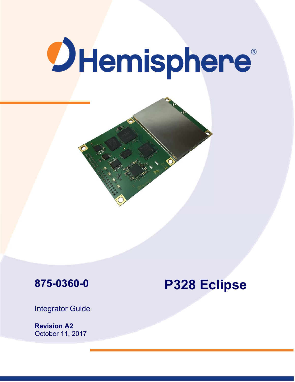# **OHemisphere®**





# **P328 Eclipse**

Integrator Guide

**Revision A2**  October 11, 2017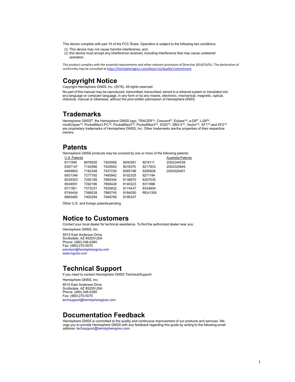This device complies with part 15 of the FCC Rules. Operation is subject to the following two conditions:

- (1) This device may not cause harmful interference, and
- (2) this device must accept any interference received, including interference that may cause undesired operation.

This product complies with the essential requirements and other relevant provisions of Directive 2014/53/EU. The declaration of conformity may be consulted at https://hemispheregnss.com/About-Us/Quality-Commitment.

# **Copyright Notice**

Copyright Hemisphere GNSS, Inc. (2016). All rights reserved.

No part of this manual may be reproduced, transmitted, transcribed, stored in a retrieval system or translated into any language or computer language, in any form or by any means, electronic, mechanical, magnetic, optical, chemical, manual or otherwise, without the prior written permission of Hemisphere GNSS.

# **Trademarks**

Hemisphere GNSS<sup>®</sup>, the Hemisphere GNSS logo, TRACER™, Crescent®, Eclipse™, e-Dif®, L-Dif™,<br>miniEclipse™, PocketMax3 PC™, PocketMax3™, PocketMax3™, S320™, SBX-4™, Vector™, XF1™,and XF2™<br>are proprietary trademarks of Hemis owners.

# **Patents**

Hemisphere GNSS products may be covered by one or more of the following patents:

| U.S. Patents |         |         |         |         | Australia Patents |
|--------------|---------|---------|---------|---------|-------------------|
| 6111549      | 6876920 | 7400956 | 8000381 | 8214111 | 2002244539        |
| 6397147      | 7142956 | 7429952 | 8018376 | 8217833 | 2002325645        |
| 6469663      | 7162348 | 7437230 | 8085196 | 8265826 | 2004320401        |
| 6501346      | 7277792 | 7460942 | 8102325 | 8271194 |                   |
| 6539303      | 7292185 | 7689354 | 8138970 | 8307535 |                   |
| 6549091      | 7292186 | 7808428 | 8140223 | 8311696 |                   |
| 6711501      | 7373231 | 7835832 | 8174437 | 8334804 |                   |
| 6744404      | 7388539 | 7885745 | 8184050 | RE41358 |                   |
| 6865465      | 7400294 | 7948769 | 8190337 |         |                   |

Other U.S. and foreign patents pending.

# **Notice to Customers**

Contact your local dealer for technical assistance. To find the authorized dealer near you:

Hemisphere GNSS, Inc 8515 East Anderson Drive Scottsdale, AZ 85255 USA Phone: (480) 348-6380 Fax: (480) 270-5070 precision@hemispheregnss.com www.hgnss.com

# **Technical Support**

If you need to contact Hemisphere GNSS Technical Support:

Hemisphere GNSS, Inc.

8515 East Anderson Drive Scottsdale, AZ 85255 USA Phone: (480) 348-6380 Fax: (480) 270-5070 techsupport@hemispheregnss.com

# **Documentation Feedback**

Hemisphere GNSS is committed to the quality and continuous improvement of our products and services. We urge you to provide Hemisphere GNSS with any feedback regarding this guide by writing to the following email address: techsupport@hemispheregnss.com.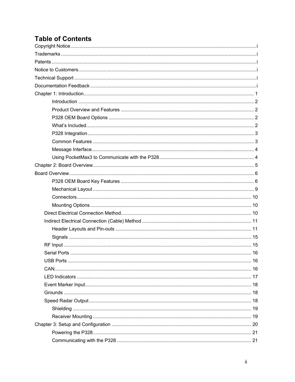# **Table of Contents**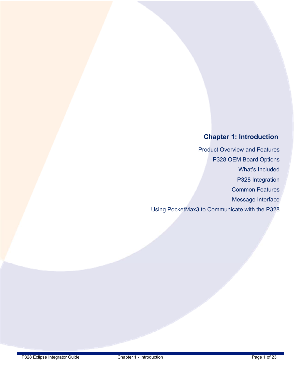# **Chapter 1: Introduction**

Product Overview and Features P328 OEM Board Options What's Included P328 Integration Common Features Message Interface Using PocketMax3 to Communicate with the P328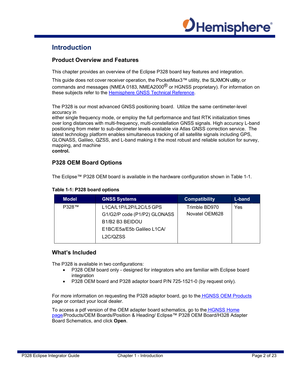

# **Introduction**

## **Product Overview and Features**

This chapter provides an overview of the Eclipse P328 board key features and integration.

This guide does not cover receiver operation, the PocketMax3™ utility, the SLXMON utility, or commands and messages (NMEA 0183, NMEA2000<sup>®</sup> or HGNSS proprietary). For information on these subjects refer to the Hemisphere GNSS Technical Reference.

The P328 is our most advanced GNSS positioning board. Utilize the same centimeter-level accuracy in

either single frequency mode, or employ the full performance and fast RTK initialization times over long distances with multi-frequency, multi-constellation GNSS signals. High accuracy L-band positioning from meter to sub-decimeter levels available via Atlas GNSS correction service. The latest technology platform enables simultaneous tracking of all satellite signals including GPS, GLONASS, Galileo, QZSS, and L-band making it the most robust and reliable solution for survey, mapping, and machine **control.**

# **P328 OEM Board Options**

The Eclipse™ P328 OEM board is available in the hardware configuration shown in Table 1-1.

| <b>Model</b> | <b>GNSS Systems</b>                                                                            | <b>Compatibility</b>            | L-band |
|--------------|------------------------------------------------------------------------------------------------|---------------------------------|--------|
| <b>P328™</b> | L1CA/L1P/L2P/L2C/L5 GPS<br>G1/G2/P code (P1/P2) GLONASS                                        | Trimble BD970<br>Novatel OEM628 | Yes    |
|              | B <sub>1</sub> /B <sub>2</sub> B <sub>3</sub> BEIDOU<br>E1BC/E5a/E5b Galileo L1CA/<br>L2C/QZSS |                                 |        |

#### **Table 1-1: P328 board options**

## **What's Included**

The P328 is available in two configurations:

- P328 OEM board only designed for integrators who are familiar with Eclipse board integration
- P328 OEM board and P328 adaptor board P/N 725-1521-0 (by request only).

For more information on requesting the P328 adaptor board, go to the HGNSS OEM Products page or contact your local dealer.

To access a pdf version of the OEM adapter board schematics, go to the HGNSS Home page/Products/OEM Boards/Position & Heading/ Eclipse™ P328 OEM Board/H328 Adapter Board Schematics, and click **Open**.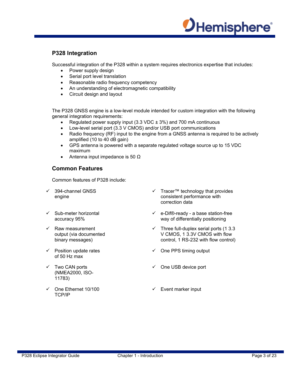

# **P328 Integration**

Successful integration of the P328 within a system requires electronics expertise that includes:

- Power supply design
- Serial port level translation
- Reasonable radio frequency competency
- An understanding of electromagnetic compatibility
- Circuit design and layout

The P328 GNSS engine is a low-level module intended for custom integration with the following general integration requirements:

- Regulated power supply input (3.3 VDC  $\pm$  3%) and 700 mA continuous
- Low-level serial port (3.3 V CMOS) and/or USB port communications
- Radio frequency (RF) input to the engine from a GNSS antenna is required to be actively amplified (10 to 40 dB gain)
- GPS antenna is powered with a separate regulated voltage source up to 15 VDC maximum
- Antenna input impedance is 50  $\Omega$

# **Common Features**

Common features of P328 include:

- 394-channel GNSS engine
- $\checkmark$  Sub-meter horizontal accuracy 95%
- $\checkmark$  Raw measurement output (via documented binary messages)
- $\checkmark$  Position update rates of 50 Hz max
- $\checkmark$  Two CAN ports (NMEA2000, ISO-11783)
- One Ethernet 10/100 TCP/IP
- Tracer™ technology that provides consistent performance with correction data
- $\checkmark$  e-Dif®-ready a base station-free way of differentially positioning
- $\checkmark$  Three full-duplex serial ports (1 3.3) V CMOS, 1 3.3V CMOS with flow control, 1 RS-232 with flow control)
- $\checkmark$  One PPS timing output
- $\checkmark$  One USB device port
- $\checkmark$  Event marker input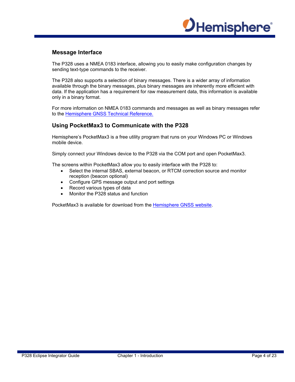

## **Message Interface**

The P328 uses a NMEA 0183 interface, allowing you to easily make configuration changes by sending text-type commands to the receiver.

The P328 also supports a selection of binary messages. There is a wider array of information available through the binary messages, plus binary messages are inherently more efficient with data. If the application has a requirement for raw measurement data, this information is available only in a binary format.

For more information on NMEA 0183 commands and messages as well as binary messages refer to the **Hemisphere GNSS Technical Reference.** 

#### **Using PocketMax3 to Communicate with the P328**

Hemisphere's PocketMax3 is a free utility program that runs on your Windows PC or Windows mobile device.

Simply connect your Windows device to the P328 via the COM port and open PocketMax3.

The screens within PocketMax3 allow you to easily interface with the P328 to:

- Select the internal SBAS, external beacon, or RTCM correction source and monitor reception (beacon optional)
- Configure GPS message output and port settings
- Record various types of data
- Monitor the P328 status and function

PocketMax3 is available for download from the Hemisphere GNSS website.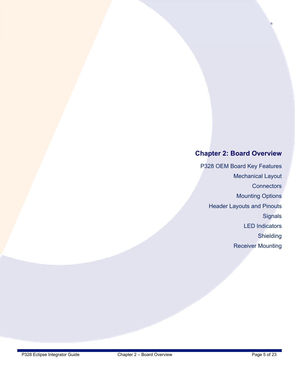# **Chapter 2: Board Overview**

P328 OEM Board Key Features Mechanical Layout **Connectors** Mounting Options Header Layouts and Pinouts **Signals** LED Indicators **Shielding** Receiver Mounting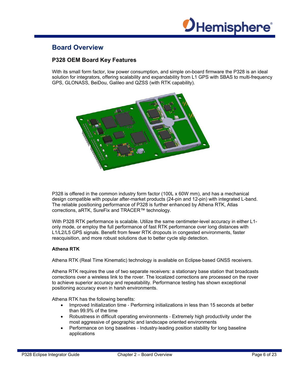

# **Board Overview**

# **P328 OEM Board Key Features**

With its small form factor, low power consumption, and simple on-board firmware the P328 is an ideal solution for integrators, offering scalability and expandability from L1 GPS with SBAS to multi-frequency GPS, GLONASS, BeiDou, Galileo and QZSS (with RTK capability).



P328 is offered in the common industry form factor (100L x 60W mm), and has a mechanical design compatible with popular after-market products (24-pin and 12-pin) with integrated L-band. The reliable positioning performance of P328 is further enhanced by Athena RTK, Atlas corrections, aRTK, SureFix and TRACER™ technology.

With P328 RTK performance is scalable. Utilize the same centimeter-level accuracy in either L1 only mode, or employ the full performance of fast RTK performance over long distances with L1/L2/L5 GPS signals. Benefit from fewer RTK dropouts in congested environments, faster reacquisition, and more robust solutions due to better cycle slip detection.

#### **Athena RTK**

Athena RTK (Real Time Kinematic) technology is available on Eclipse‐based GNSS receivers.

Athena RTK requires the use of two separate receivers: a stationary base station that broadcasts corrections over a wireless link to the rover. The localized corrections are processed on the rover to achieve superior accuracy and repeatability. Performance testing has shown exceptional positioning accuracy even in harsh environments.

Athena RTK has the following benefits:

- Improved Initialization time ‐ Performing initializations in less than 15 seconds at better than 99.9% of the time
- Robustness in difficult operating environments Extremely high productivity under the most aggressive of geographic and landscape oriented environments
- Performance on long baselines Industry-leading position stability for long baseline applications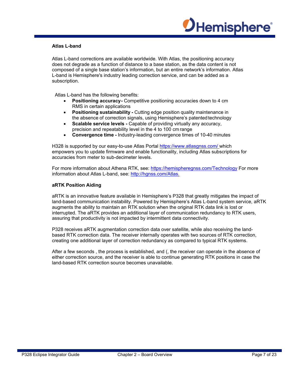

#### **Atlas L-band**

Atlas L-band corrections are available worldwide. With Atlas, the positioning accuracy does not degrade as a function of distance to a base station, as the data content is not composed of a single base station's information, but an entire network's information. Atlas L-band is Hemisphere's industry leading correction service, and can be added as a subscription.

Atlas L-band has the following benefits:

- **Positioning accuracy -** Competitive positioning accuracies down to 4 cm RMS in certain applications
- **Positioning sustainability Cutting edge position quality maintenance in** the absence of correction signals, using Hemisphere's patented technology
- **Scalable service levels -** Capable of providing virtually any accuracy, precision and repeatability level in the 4 to 100 cm range
- **Convergence time -** Industry-leading convergence times of 10-40 minutes

H328 is supported by our easy-to-use Atlas Portal https://www.atlasgnss.com/ which empowers you to update firmware and enable functionality, including Atlas subscriptions for accuracies from meter to sub-decimeter levels.

For more information about Athena RTK, see: https://hemispheregnss.com/Technology For more information about Atlas L-band, see: http://hgnss.com/Atlas.

#### **aRTK Position Aiding**

aRTK is an innovative feature available in Hemisphere's P328 that greatly mitigates the impact of land-based communication instability. Powered by Hemisphere's Atlas L-band system service, aRTK augments the ability to maintain an RTK solution when the original RTK data link is lost or interrupted. The aRTK provides an additional layer of communication redundancy to RTK users, assuring that productivity is not impacted by intermittent data connectivity.

P328 receives aRTK augmentation correction data over satellite, while also receiving the landbased RTK correction data. The receiver internally operates with two sources of RTK correction, creating one additional layer of correction redundancy as compared to typical RTK systems.

After a few seconds , the process is established, and (, the receiver can operate in the absence of either correction source, and the receiver is able to continue generating RTK positions in case the land-based RTK correction source becomes unavailable.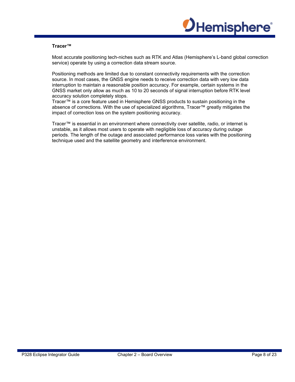

#### **Tracer™**

Most accurate positioning tech-niches such as RTK and Atlas (Hemisphere's L-band global correction service) operate by using a correction data stream source.

Positioning methods are limited due to constant connectivity requirements with the correction source. In most cases, the GNSS engine needs to receive correction data with very low data interruption to maintain a reasonable position accuracy. For example, certain systems in the GNSS market only allow as much as 10 to 20 seconds of signal interruption before RTK level accuracy solution completely stops.

Tracer™ is a core feature used in Hemisphere GNSS products to sustain positioning in the absence of corrections. With the use of specialized algorithms, Tracer™ greatly mitigates the impact of correction loss on the system positioning accuracy.

Tracer™ is essential in an environment where connectivity over satellite, radio, or internet is unstable, as it allows most users to operate with negligible loss of accuracy during outage periods. The length of the outage and associated performance loss varies with the positioning technique used and the satellite geometry and interference environment.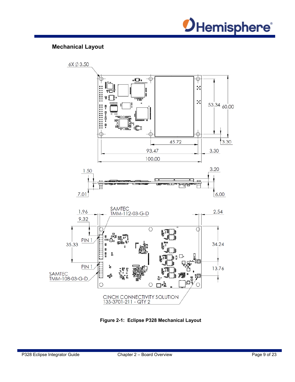

# **Mechanical Layout**



**Figure 2-1: Eclipse P328 Mechanical Layout**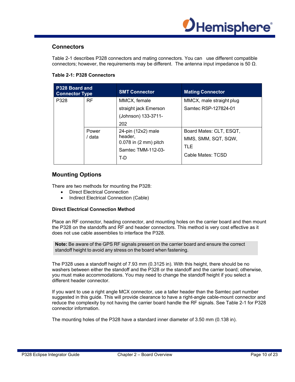

## **Connectors**

Table 2-1 describes P328 connectors and mating connectors. You can use different compatible connectors; however, the requirements may be different. The antenna input impedance is 50  $Ω$ .

| P328 Board and<br><b>Connector Type</b> |                 | <b>SMT Connector</b>                                                                                 | <b>Mating Connector</b>                                                     |
|-----------------------------------------|-----------------|------------------------------------------------------------------------------------------------------|-----------------------------------------------------------------------------|
| P328                                    | RF.             | MMCX, female<br>straight jack Emerson<br>(Johnson) 133-3711-<br>202                                  | MMCX, male straight plug<br>Samtec RSP-127824-01                            |
|                                         | Power<br>/ data | $24$ -pin $(12x2)$ male<br>header,<br>$0.078$ in $(2 \text{ mm})$ pitch<br>Samtec TMM-112-03-<br>T-D | Board Mates: CLT, ESQT,<br>MMS, SMM, SQT, SQW,<br>TLE.<br>Cable Mates: TCSD |

#### **Table 2-1: P328 Connectors**

# **Mounting Options**

There are two methods for mounting the P328:

- Direct Electrical Connection
- Indirect Electrical Connection (Cable)

#### **Direct Electrical Connection Method**

Place an RF connector, heading connector, and mounting holes on the carrier board and then mount the P328 on the standoffs and RF and header connectors. This method is very cost effective as it does not use cable assemblies to interface the P328.

**Note:** Be aware of the GPS RF signals present on the carrier board and ensure the correct standoff height to avoid any stress on the board when fastening.

The P328 uses a standoff height of 7.93 mm (0.3125 in). With this height, there should be no washers between either the standoff and the P328 or the standoff and the carrier board; otherwise, you must make accommodations. You may need to change the standoff height if you select a different header connector.

If you want to use a right angle MCX connector, use a taller header than the Samtec part number suggested in this guide. This will provide clearance to have a right-angle cable-mount connector and reduce the complexity by not having the carrier board handle the RF signals. See Table 2-1 for P328 connector information.

The mounting holes of the P328 have a standard inner diameter of 3.50 mm (0.138 in).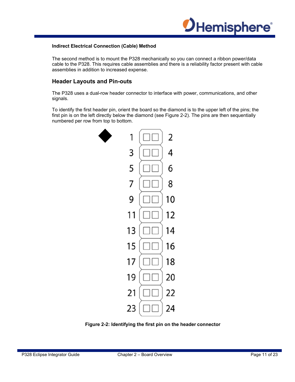

#### **Indirect Electrical Connection (Cable) Method**

The second method is to mount the P328 mechanically so you can connect a ribbon power/data cable to the P328. This requires cable assemblies and there is a reliability factor present with cable assemblies in addition to increased expense.

## **Header Layouts and Pin-outs**

The P328 uses a dual-row header connector to interface with power, communications, and other signals.

To identify the first header pin, orient the board so the diamond is to the upper left of the pins; the first pin is on the left directly below the diamond (see Figure 2-2). The pins are then sequentially numbered per row from top to bottom.



**Figure 2-2: Identifying the first pin on the header connector**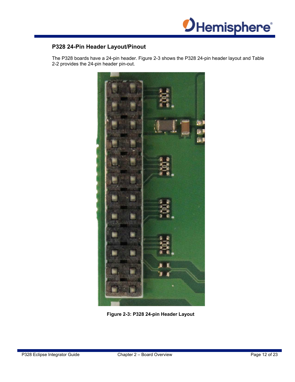

# **P328 24-Pin Header Layout/Pinout**

The P328 boards have a 24-pin header. Figure 2-3 shows the P328 24-pin header layout and Table 2-2 provides the 24-pin header pin-out.



**Figure 2-3: P328 24-pin Header Layout**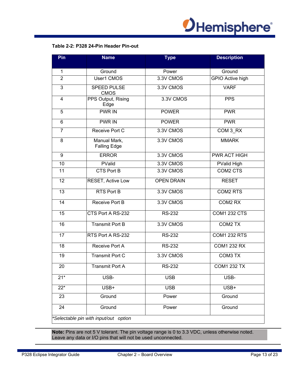

# **Table 2-2: P328 24-Pin Header Pin-out**

| Pin             | <b>Name</b>                           | <b>Type</b>       | <b>Description</b>      |
|-----------------|---------------------------------------|-------------------|-------------------------|
| 1               | Ground                                | Power             | Ground                  |
| $\overline{2}$  | User1 CMOS                            | 3.3V CMOS         | <b>GPIO Active high</b> |
| 3               | <b>SPEED PULSE</b><br><b>CMOS</b>     | 3.3V CMOS         | <b>VARF</b>             |
| $\overline{4}$  | PPS Output, Rising<br>Edge            | 3.3V CMOS         | <b>PPS</b>              |
| 5               | <b>PWR IN</b>                         | <b>POWER</b>      | <b>PWR</b>              |
| 6               | <b>PWR IN</b>                         | <b>POWER</b>      | <b>PWR</b>              |
| $\overline{7}$  | Receive Port C                        | 3.3V CMOS         | COM 3 RX                |
| 8               | Manual Mark,<br><b>Falling Edge</b>   | 3.3V CMOS         | <b>MMARK</b>            |
| 9               | <b>ERROR</b>                          | 3.3V CMOS         | PWR ACT HIGH            |
| 10              | PValid                                | 3.3V CMOS         | PValid High             |
| 11              | <b>CTS Port B</b>                     | 3.3V CMOS         | COM2 CTS                |
| 12              | RESET, Active Low                     | <b>OPEN DRAIN</b> | <b>RESET</b>            |
| 13              | <b>RTS Port B</b>                     | 3.3V CMOS         | <b>COM2 RTS</b>         |
| 14              | Receive Port B                        | 3.3V CMOS         | COM2 RX                 |
| 15              | CTS Port A RS-232                     | <b>RS-232</b>     | <b>COM1 232 CTS</b>     |
| 16              | <b>Transmit Port B</b>                | 3.3V CMOS         | COM2 TX                 |
| 17              | RTS Port A RS-232                     | <b>RS-232</b>     | <b>COM1 232 RTS</b>     |
| 18              | Receive Port A                        | <b>RS-232</b>     | <b>COM1 232 RX</b>      |
| 19              | Transmit Port C                       | 3.3V CMOS         | COM3 TX                 |
| $\overline{20}$ | <b>Transmit Port A</b>                | <b>RS-232</b>     | <b>COM1 232 TX</b>      |
| $21*$           | USB-                                  | <b>USB</b>        | USB-                    |
| $22*$           | USB+                                  | <b>USB</b>        | USB+                    |
| 23              | Ground                                | Power             | Ground                  |
| 24              | Ground                                | Power             | Ground                  |
|                 | *Selectable pin with input/out option |                   |                         |

**Note:** Pins are not 5 V tolerant. The pin voltage range is 0 to 3.3 VDC, unless otherwise noted. Leave any data or I/O pins that will not be used unconnected.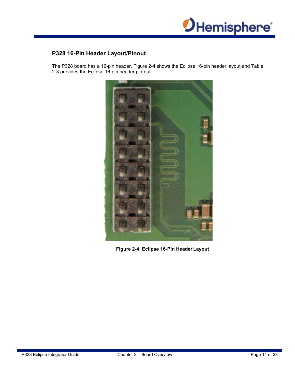

# **P328 16-Pin Header Layout/Pinout**

The P328 board has a 16-pin header. Figure 2-4 shows the Eclipse 16-pin header layout and Table 2-3 provides the Eclipse 16-pin header pin-out.



**Figure 2-4: Eclipse 16-Pin Header Layout**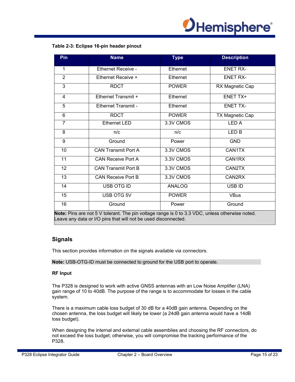

#### **Table 2-3: Eclipse 16-pin header pinout**

| Pin                      | <b>Name</b>                                                                                                                                                                                                                                                                   | <b>Type</b>   | <b>Description</b>                                                                                                                                                                       |
|--------------------------|-------------------------------------------------------------------------------------------------------------------------------------------------------------------------------------------------------------------------------------------------------------------------------|---------------|------------------------------------------------------------------------------------------------------------------------------------------------------------------------------------------|
| 1                        | Ethernet Receive -                                                                                                                                                                                                                                                            | Ethernet      | <b>ENET RX-</b>                                                                                                                                                                          |
| $\overline{2}$           | Ethernet Receive +                                                                                                                                                                                                                                                            | Ethernet      | <b>ENET RX-</b>                                                                                                                                                                          |
| 3                        | <b>RDCT</b>                                                                                                                                                                                                                                                                   | <b>POWER</b>  | RX Magnetic Cap                                                                                                                                                                          |
| 4                        | Ethernet Transmit +                                                                                                                                                                                                                                                           | Ethernet      | ENET TX+                                                                                                                                                                                 |
| 5                        | Ethernet Transmit -                                                                                                                                                                                                                                                           | Ethernet      | <b>ENET TX-</b>                                                                                                                                                                          |
| 6                        | <b>RDCT</b>                                                                                                                                                                                                                                                                   | <b>POWER</b>  | TX Magnetic Cap                                                                                                                                                                          |
| $\overline{7}$           | <b>Ethernet LED</b>                                                                                                                                                                                                                                                           | 3.3V CMOS     | <b>LEDA</b>                                                                                                                                                                              |
| 8                        | n/c                                                                                                                                                                                                                                                                           | n/c           | LED <sub>B</sub>                                                                                                                                                                         |
| 9                        | Ground                                                                                                                                                                                                                                                                        | Power         | <b>GND</b>                                                                                                                                                                               |
| 10                       | <b>CAN Transmit Port A</b>                                                                                                                                                                                                                                                    | 3.3V CMOS     | CAN1TX                                                                                                                                                                                   |
| 11                       | <b>CAN Receive Port A</b>                                                                                                                                                                                                                                                     | 3.3V CMOS     | CAN1RX                                                                                                                                                                                   |
| 12 <sub>2</sub>          | <b>CAN Transmit Port B</b>                                                                                                                                                                                                                                                    | 3.3V CMOS     | CAN2TX                                                                                                                                                                                   |
| 13                       | <b>CAN Receive Port B</b>                                                                                                                                                                                                                                                     | 3.3V CMOS     | CAN2RX                                                                                                                                                                                   |
| 14                       | USB OTG ID                                                                                                                                                                                                                                                                    | <b>ANALOG</b> | USB ID                                                                                                                                                                                   |
| 15                       | USB OTG 5V                                                                                                                                                                                                                                                                    | <b>POWER</b>  | <b>VBus</b>                                                                                                                                                                              |
| 16<br><b>Market Blue</b> | Ground<br>. A $\blacktriangleright$ ( ) $\blacktriangle$ ( ) and ( ) $\blacktriangleright$ ( ) and ( ) and ( ) and ( ) and ( ) is set of ( ) is set of ( ) is set of ( ) is set of ( ) is set of ( ) is set of ( ) is set of ( ) is set of ( ) is set of ( ) is set of ( ) is | Power         | Ground<br>$\mathbf{1} \cdot \mathbf{0}$ $\mathbf{1} \cdot \mathbf{0} \cdot \mathbf{0}$ $\mathbf{1} \cdot \mathbf{0} \cdot \mathbf{0}$ and $\mathbf{0} \cdot \mathbf{1} \cdot \mathbf{1}$ |

**Note:** Pins are not 5 V tolerant. The pin voltage range is 0 to 3.3 VDC, unless otherwise noted. Leave any data or I/O pins that will not be used disconnected.

#### **Signals**

This section provides information on the signals available via connectors.

**Note:** USB-OTG-ID must be connected to ground for the USB port to operate.

#### **RF Input**

The P328 is designed to work with active GNSS antennas with an Low Noise Amplifier (LNA) gain range of 10 to 40dB. The purpose of the range is to accommodate for losses in the cable system.

There is a maximum cable loss budget of 30 dB for a 40dB gain antenna. Depending on the chosen antenna, the loss budget will likely be lower (a 24dB gain antenna would have a 14dB loss budget).

When designing the internal and external cable assemblies and choosing the RF connectors, do not exceed the loss budget; otherwise, you will compromise the tracking performance of the P328.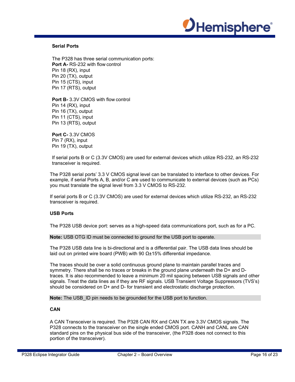

#### **Serial Ports**

The P328 has three serial communication ports: **Port A-** RS-232 with flow control Pin 18 (RX), input Pin 20 (TX), output Pin 15 (CTS), input Pin 17 (RTS), output

**Port B-** 3.3V CMOS with flow control Pin 14 (RX), input Pin 16 (TX), output Pin 11 (CTS), input Pin 13 (RTS), output

**Port C-** 3.3V CMOS Pin 7 (RX), input Pin 19 (TX), output

If serial ports B or C (3.3V CMOS) are used for external devices which utilize RS-232, an RS-232 transceiver is required.

The P328 serial ports' 3.3 V CMOS signal level can be translated to interface to other devices. For example, if serial Ports A, B, and/or C are used to communicate to external devices (such as PCs) you must translate the signal level from 3.3 V CMOS to RS-232.

If serial ports B or C (3.3V CMOS) are used for external devices which utilize RS-232, an RS-232 transceiver is required.

#### **USB Ports**

The P328 USB device port: serves as a high-speed data communications port, such as for a PC.

#### **Note:** USB OTG ID must be connected to ground for the USB port to operate.

The P328 USB data line is bi-directional and is a differential pair. The USB data lines should be laid out on printed wire board (PWB) with 90 Ω±15% differential impedance.

The traces should be over a solid continuous ground plane to maintain parallel traces and symmetry. There shall be no traces or breaks in the ground plane underneath the D+ and Dtraces. It is also recommended to leave a minimum 20 mil spacing between USB signals and other signals. Treat the data lines as if they are RF signals. USB Transient Voltage Suppressors (TVS's) should be considered on D+ and D- for transient and electrostatic discharge protection.

**Note:** The USB ID pin needs to be grounded for the USB port to function.

#### **CAN**

A CAN Transceiver is required. The P328 CAN RX and CAN TX are 3.3V CMOS signals. The P328 connects to the transceiver on the single ended CMOS port. CANH and CANL are CAN standard pins on the physical bus side of the transceiver, (the P328 does not connect to this portion of the transceiver).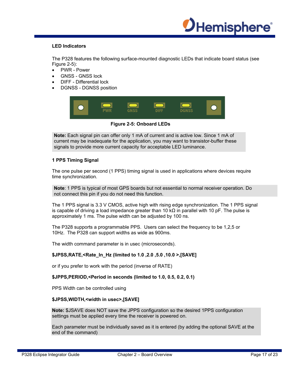

#### **LED Indicators**

The P328 features the following surface-mounted diagnostic LEDs that indicate board status (see Figure 2-5):

- PWR Power
- GNSS GNSS lock
- DIFF Differential lock
- DGNSS DGNSS position



**Figure 2-5: Onboard LEDs**

**Note:** Each signal pin can offer only 1 mA of current and is active low. Since 1 mA of current may be inadequate for the application, you may want to transistor-buffer these signals to provide more current capacity for acceptable LED luminance.

#### **1 PPS Timing Signal**

The one pulse per second (1 PPS) timing signal is used in applications where devices require time synchronization.

**Note**: 1 PPS is typical of most GPS boards but not essential to normal receiver operation. Do not connect this pin if you do not need this function.

The 1 PPS signal is 3.3 V CMOS, active high with rising edge synchronization. The 1 PPS signal is capable of driving a load impedance greater than 10 k $\Omega$  in parallel with 10 pF. The pulse is approximately 1 ms. The pulse width can be adjusted by 100 ns.

The P328 supports a programmable PPS. Users can select the frequency to be 1,2,5 or 10Hz. The P328 can support widths as wide as 900ms.

The width command parameter is in usec (microseconds).

#### **\$JPSS,RATE,<Rate\_In\_Hz (limited to 1.0 ,2.0 ,5.0 ,10.0 >,[SAVE]**

or if you prefer to work with the period (inverse of RATE)

#### **\$JPPS,PERIOD,<Period in seconds (limited to 1.0, 0.5, 0.2, 0.1)**

PPS Width can be controlled using

#### **\$JPSS,WIDTH,<width in usec>,[SAVE]**

**Note:** \$JSAVE does NOT save the JPPS configuration so the desired 1PPS configuration settings must be applied every time the receiver is powered on.

Each parameter must be individually saved as it is entered (by adding the optional SAVE at the end of the command)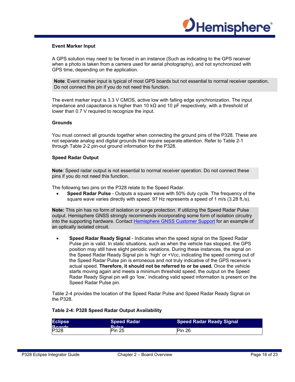

#### **Event Marker Input**

A GPS solution may need to be forced in an instance (Such as indicating to the GPS receiver when a photo is taken from a camera used for aerial photography), and not synchronized with GPS time, depending on the application.

**Note**: Event marker input is typical of most GPS boards but not essential to normal receiver operation. Do not connect this pin if you do not need this function.

The event marker input is 3.3 V CMOS, active low with falling edge synchronization. The input impedance and capacitance is higher than 10 kΩ and 10 pF respectively, with a threshold of lower than 0.7 V required to recognize the input.

#### **Grounds**

You must connect all grounds together when connecting the ground pins of the P328. These are not separate analog and digital grounds that require separate attention. Refer to Table 2-1 through Table 2-2 pin-out ground information for the P328.

#### **Speed Radar Output**

**Note**: Speed radar output is not essential to normal receiver operation. Do not connect these pins if you do not need this function.

The following two pins on the P328 relate to the Speed Radar.

 **Speed Radar Pulse** - Outputs a square wave with 50% duty cycle. The frequency of the square wave varies directly with speed. 97 Hz represents a speed of 1 m/s (3.28 ft./s).

**Note:** This pin has no form of isolation or surge protection. If utilizing the Speed Radar Pulse output. Hemisphere GNSS strongly recommends incorporating some form of isolation circuitry into the supporting hardware. Contact Hemisphere GNSS Customer Support for an example of an optically isolated circuit.

 **Speed Radar Ready Signal** - Indicates when the speed signal on the Speed Radar Pulse pin is valid. In static situations, such as when the vehicle has stopped, the GPS position may still have slight periodic variations. During these instances, the signal on the Speed Radar Ready Signal pin is 'high' or +Vcc, indicating the speed coming out of the Speed Radar Pulse pin is erroneous and not truly indicative of the GPS receiver's actual speed. **Therefore, it should not be referred to or be used.** Once the vehicle starts moving again and meets a minimum threshold speed, the output on the Speed Radar Ready Signal pin will go 'low,' indicating valid speed information is present on the Speed Radar Pulse pin.

Table 2-4 provides the location of the Speed Radar Pulse and Speed Radar Ready Signal on the P328.

#### **Table 2-4: P328 Speed Radar Output Availability**

| <b>Eclipse</b> | <b>Speed Radar</b> | <b>Speed Radar Ready Signal</b> |
|----------------|--------------------|---------------------------------|
| <b>Roorde</b>  | <b>Dulen</b>       |                                 |
| P328           | Pin 25             | Pin 26                          |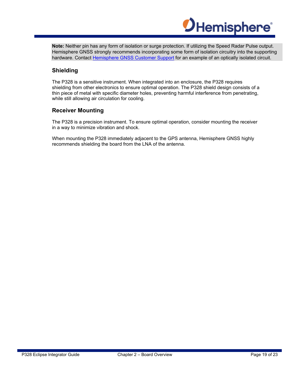

**Note:** Neither pin has any form of isolation or surge protection. If utilizing the Speed Radar Pulse output. Hemisphere GNSS strongly recommends incorporating some form of isolation circuitry into the supporting hardware. Contact Hemisphere GNSS Customer Support for an example of an optically isolated circuit.

# **Shielding**

The P328 is a sensitive instrument. When integrated into an enclosure, the P328 requires shielding from other electronics to ensure optimal operation. The P328 shield design consists of a thin piece of metal with specific diameter holes, preventing harmful interference from penetrating, while still allowing air circulation for cooling.

## **Receiver Mounting**

The P328 is a precision instrument. To ensure optimal operation, consider mounting the receiver in a way to minimize vibration and shock.

When mounting the P328 immediately adjacent to the GPS antenna, Hemisphere GNSS highly recommends shielding the board from the LNA of the antenna.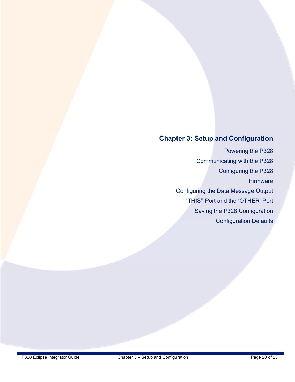# **Chapter 3: Setup and Configuration**

Powering the P328 Communicating with the P328 Configuring the P328 Firmware Configuring the Data Message Output "THIS'' Port and the 'OTHER' Port Saving the P328 Configuration Configuration Defaults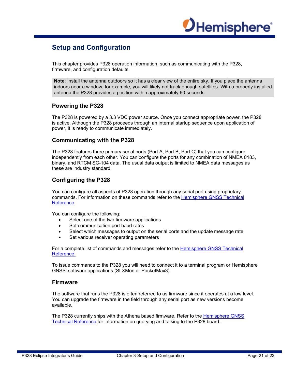

# **Setup and Configuration**

This chapter provides P328 operation information, such as communicating with the P328, firmware, and configuration defaults.

**Note**: Install the antenna outdoors so it has a clear view of the entire sky. If you place the antenna indoors near a window, for example, you will likely not track enough satellites. With a properly installed antenna the P328 provides a position within approximately 60 seconds.

#### **Powering the P328**

The P328 is powered by a 3.3 VDC power source. Once you connect appropriate power, the P328 is active. Although the P328 proceeds through an internal startup sequence upon application of power, it is ready to communicate immediately.

#### **Communicating with the P328**

The P328 features three primary serial ports (Port A, Port B, Port C) that you can configure independently from each other. You can configure the ports for any combination of NMEA 0183, binary, and RTCM SC-104 data. The usual data output is limited to NMEA data messages as these are industry standard.

## **Configuring the P328**

You can configure all aspects of P328 operation through any serial port using proprietary commands. For information on these commands refer to the Hemisphere GNSS Technical Reference.

You can configure the following:

- Select one of the two firmware applications
- Set communication port baud rates
- Select which messages to output on the serial ports and the update message rate
- Set various receiver operating parameters

For a complete list of commands and messages refer to the Hemisphere GNSS Technical Reference.

To issue commands to the P328 you will need to connect it to a terminal program or Hemisphere GNSS' software applications (SLXMon or PocketMax3).

#### **Firmware**

The software that runs the P328 is often referred to as firmware since it operates at a low level. You can upgrade the firmware in the field through any serial port as new versions become available.

The P328 currently ships with the Athena based firmware. Refer to the Hemisphere GNSS Technical Reference for information on querying and talking to the P328 board.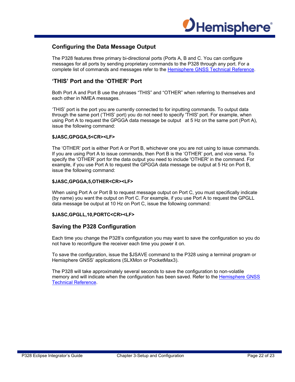

# **Configuring the Data Message Output**

The P328 features three primary bi-directional ports (Ports A, B and C. You can configure messages for all ports by sending proprietary commands to the P328 through any port. For a complete list of commands and messages refer to the Hemisphere GNSS Technical Reference.

## **'THIS' Port and the 'OTHER' Port**

Both Port A and Port B use the phrases "THIS" and "OTHER" when referring to themselves and each other in NMEA messages.

'THIS' port is the port you are currently connected to for inputting commands. To output data through the same port ('THIS' port) you do not need to specify 'THIS' port. For example, when using Port A to request the GPGGA data message be output at 5 Hz on the same port (Port A), issue the following command:

#### **\$JASC,GPGGA,5<CR><LF>**

The 'OTHER' port is either Port A or Port B, whichever one you are not using to issue commands. If you are using Port A to issue commands, then Port B is the 'OTHER' port, and vice versa. To specify the 'OTHER' port for the data output you need to include 'OTHER' in the command. For example, if you use Port A to request the GPGGA data message be output at 5 Hz on Port B, issue the following command:

#### **\$JASC,GPGGA,5,OTHER<CR><LF>**

When using Port A or Port B to request message output on Port C, you must specifically indicate (by name) you want the output on Port C. For example, if you use Port A to request the GPGLL data message be output at 10 Hz on Port C, issue the following command:

#### **\$JASC,GPGLL,10,PORTC<CR><LF>**

#### **Saving the P328 Configuration**

Each time you change the P328's configuration you may want to save the configuration so you do not have to reconfigure the receiver each time you power it on.

To save the configuration, issue the \$JSAVE command to the P328 using a terminal program or Hemisphere GNSS' applications (SLXMon or PocketMax3).

The P328 will take approximately several seconds to save the configuration to non-volatile memory and will indicate when the configuration has been saved. Refer to the Hemisphere GNSS Technical Reference.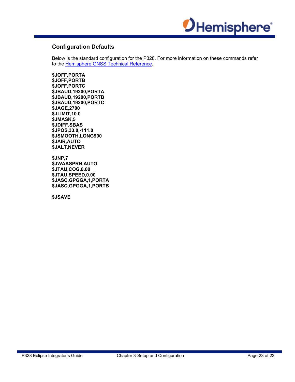

# **Configuration Defaults**

Below is the standard configuration for the P328. For more information on these commands refer to the **Hemisphere GNSS Technical Reference**.

**\$JOFF,PORTA \$JOFF,PORTB \$JOFF,PORTC \$JBAUD,19200,PORTA \$JBAUD,19200,PORTB \$JBAUD,19200,PORTC \$JAGE,2700 \$JLIMIT,10.0 \$JMASK,5 \$JDIFF,SBAS \$JPOS,33.0,-111.0 \$JSMOOTH,LONG900 \$JAIR,AUTO \$JALT,NEVER** 

**\$JNP,7 \$JWAASPRN,AUTO \$JTAU,COG,0.00 \$JTAU,SPEED,0.00 \$JASC,GPGGA,1,PORTA \$JASC,GPGGA,1,PORTB** 

**\$JSAVE**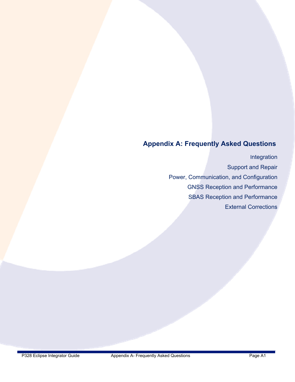# **Appendix A: Frequently Asked Questions**

Integration Support and Repair Power, Communication, and Configuration GNSS Reception and Performance SBAS Reception and Performance External Corrections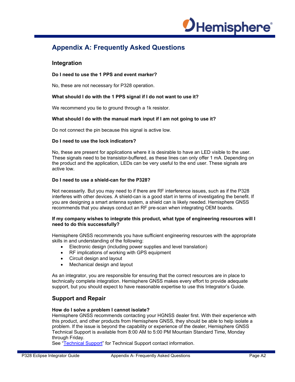

# **Appendix A: Frequently Asked Questions**

#### **Integration**

#### **Do I need to use the 1 PPS and event marker?**

No, these are not necessary for P328 operation.

#### **What should I do with the 1 PPS signal if I do not want to use it?**

We recommend you tie to ground through a 1k resistor.

#### **What should I do with the manual mark input if I am not going to use it?**

Do not connect the pin because this signal is active low.

#### **Do I need to use the lock indicators?**

No, these are present for applications where it is desirable to have an LED visible to the user. These signals need to be transistor-buffered, as these lines can only offer 1 mA. Depending on the product and the application, LEDs can be very useful to the end user. These signals are active low.

#### **Do I need to use a shield-can for the P328?**

Not necessarily. But you may need to if there are RF interference issues, such as if the P328 interferes with other devices. A shield-can is a good start in terms of investigating the benefit. If you are designing a smart antenna system, a shield can is likely needed. Hemisphere GNSS recommends that you always conduct an RF pre-scan when integrating OEM boards.

#### **If my company wishes to integrate this product, what type of engineering resources will I need to do this successfully?**

Hemisphere GNSS recommends you have sufficient engineering resources with the appropriate skills in and understanding of the following:

- Electronic design (including power supplies and level translation)
- RF implications of working with GPS equipment
- Circuit design and layout
- Mechanical design and layout

As an integrator, you are responsible for ensuring that the correct resources are in place to technically complete integration. Hemisphere GNSS makes every effort to provide adequate support, but you should expect to have reasonable expertise to use this Integrator's Guide.

## **Support and Repair**

#### **How do I solve a problem I cannot isolate?**

Hemisphere GNSS recommends contacting your HGNSS dealer first. With their experience with this product, and other products from Hemisphere GNSS, they should be able to help isolate a problem. If the issue is beyond the capability or experience of the dealer, Hemisphere GNSS Technical Support is available from 8:00 AM to 5:00 PM Mountain Standard Time, Monday through Friday.

See "Technical Support" for Technical Support contact information.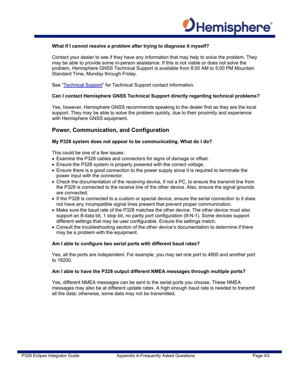

#### **What if I cannot resolve a problem after trying to diagnose it myself?**

Contact your dealer to see if they have any information that may help to solve the problem. They may be able to provide some in-person assistance. If this is not viable or does not solve the problem, Hemisphere GNSS Technical Support is available from 8:00 AM to 5:00 PM Mountain Standard Time, Monday through Friday.

See "Technical Support" for Technical Support contact information.

#### **Can I contact Hemisphere GNSS Technical Support directly regarding technical problems?**

Yes, however, Hemisphere GNSS recommends speaking to the dealer first as they are the local support. They may be able to solve the problem quickly, due to their proximity and experience with Hemisphere GNSS equipment.

#### **Power, Communication, and Configuration**

#### **My P328 system does not appear to be communicating. What do I do?**

This could be one of a few issues:

- Examine the P328 cables and connectors for signs of damage or offset.
- Ensure the P328 system is properly powered with the correct voltage.
- Ensure there is a good connection to the power supply since it is required to terminate the power input with the connector.
- Check the documentation of the receiving device, if not a PC, to ensure the transmit line from the P328 is connected to the receive line of the other device. Also, ensure the signal grounds are connected.
- If the P328 is connected to a custom or special device, ensure the serial connection to it does not have any incompatible signal lines present that prevent proper communication.
- Make sure the baud rate of the P328 matches the other device. The other device must also support an 8-data bit, 1 stop bit, no parity port configuration (8-N-1). Some devices support different settings that may be user configurable. Ensure the settings match.
- Consult the troubleshooting section of the other device's documentation to determine if there may be a problem with the equipment.

#### **Am I able to configure two serial ports with different baud rates?**

Yes, all the ports are independent. For example, you may set one port to 4800 and another port to 19200.

#### **Am I able to have the P328 output different NMEA messages through multiple ports?**

Yes, different NMEA messages can be sent to the serial ports you choose. These NMEA messages may also be at different update rates. A high enough baud rate is needed to transmit all the data; otherwise, some data may not be transmitted.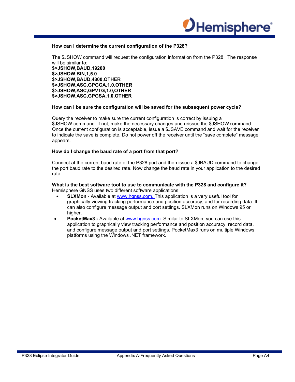

#### **How can I determine the current configuration of the P328?**

The \$JSHOW command will request the configuration information from the P328. The response will be similar to: **\$>JSHOW,BAUD,19200 \$>JSHOW,BIN,1,5.0 \$>JSHOW,BAUD,4800,OTHER \$>JSHOW,ASC,GPGGA,1.0,OTHER \$>JSHOW,ASC,GPVTG,1.0,OTHER \$>JSHOW,ASC,GPGSA,1.0,OTHER** 

#### **How can I be sure the configuration will be saved for the subsequent power cycle?**

Query the receiver to make sure the current configuration is correct by issuing a \$JSHOW command. If not, make the necessary changes and reissue the \$JSHOW command. Once the current configuration is acceptable, issue a \$JSAVE command and wait for the receiver to indicate the save is complete. Do not power off the receiver until the "save complete" message appears.

#### **How do I change the baud rate of a port from that port?**

Connect at the current baud rate of the P328 port and then issue a \$JBAUD command to change the port baud rate to the desired rate. Now change the baud rate in your application to the desired rate.

#### **What is the best software tool to use to communicate with the P328 and configure it?**  Hemisphere GNSS uses two different software applications:

- **SLXMon** Available at www.hgnss.com. This application is a very useful tool for graphically viewing tracking performance and position accuracy, and for recording data. It can also configure message output and port settings. SLXMon runs on Windows 95 or higher.
- **PocketMax3 -** Available at www.hgnss.com. Similar to SLXMon, you can use this application to graphically view tracking performance and position accuracy, record data, and configure message output and port settings. PocketMax3 runs on multiple Windows platforms using the Windows .NET framework.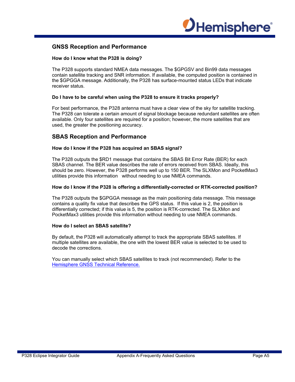

## **GNSS Reception and Performance**

#### **How do I know what the P328 is doing?**

The P328 supports standard NMEA data messages. The \$GPGSV and Bin99 data messages contain satellite tracking and SNR information. If available, the computed position is contained in the \$GPGGA message. Additionally, the P328 has surface-mounted status LEDs that indicate receiver status.

#### **Do I have to be careful when using the P328 to ensure it tracks properly?**

For best performance, the P328 antenna must have a clear view of the sky for satellite tracking. The P328 can tolerate a certain amount of signal blockage because redundant satellites are often available. Only four satellites are required for a position; however, the more satellites that are used, the greater the positioning accuracy.

#### **SBAS Reception and Performance**

#### **How do I know if the P328 has acquired an SBAS signal?**

The P328 outputs the \$RD1 message that contains the SBAS Bit Error Rate (BER) for each SBAS channel. The BER value describes the rate of errors received from SBAS. Ideally, this should be zero. However, the P328 performs well up to 150 BER. The SLXMon and PocketMax3 utilities provide this information without needing to use NMEA commands.

#### **How do I know if the P328 is offering a differentially-corrected or RTK-corrected position?**

The P328 outputs the \$GPGGA message as the main positioning data message. This message contains a quality fix value that describes the GPS status. If this value is 2, the position is differentially corrected; if this value is 5, the position is RTK-corrected. The SLXMon and PocketMax3 utilities provide this information without needing to use NMEA commands.

#### **How do I select an SBAS satellite?**

By default, the P328 will automatically attempt to track the appropriate SBAS satellites. If multiple satellites are available, the one with the lowest BER value is selected to be used to decode the corrections.

You can manually select which SBAS satellites to track (not recommended). Refer to the Hemisphere GNSS Technical Reference.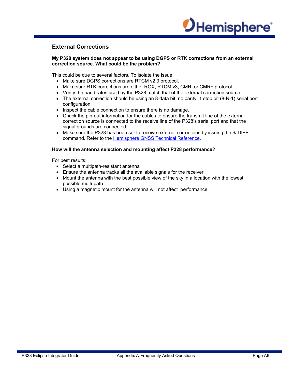

# **External Corrections**

#### **My P328 system does not appear to be using DGPS or RTK corrections from an external correction source. What could be the problem?**

This could be due to several factors. To isolate the issue:

- Make sure DGPS corrections are RTCM v2.3 protocol.
- Make sure RTK corrections are either ROX, RTCM v3, CMR, or CMR+ protocol.
- Verify the baud rates used by the P328 match that of the external correction source.
- The external correction should be using an 8-data bit, no parity, 1 stop bit (8-N-1) serial port configuration.
- Inspect the cable connection to ensure there is no damage.
- Check the pin-out information for the cables to ensure the transmit line of the external correction source is connected to the receive line of the P328's serial port and that the signal grounds are connected.
- Make sure the P328 has been set to receive external corrections by issuing the \$JDIFF command. Refer to the Hemisphere GNSS Technical Reference.

#### **How will the antenna selection and mounting affect P328 performance?**

For best results:

- Select a multipath-resistant antenna
- Ensure the antenna tracks all the available signals for the receiver
- Mount the antenna with the best possible view of the sky in a location with the lowest possible multi-path
- Using a magnetic mount for the antenna will not affect performance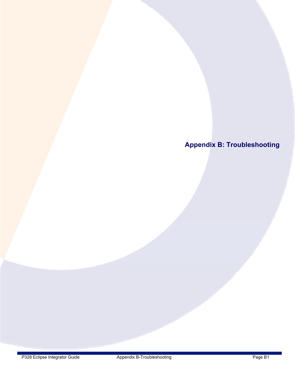**Appendix B: Troubleshooting**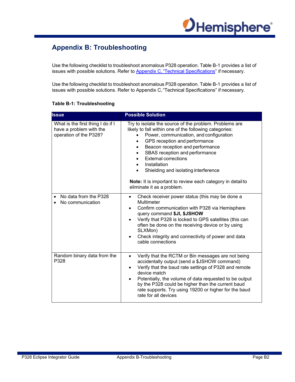

# **Appendix B: Troubleshooting**

Use the following checklist to troubleshoot anomalous P328 operation. Table B-1 provides a list of issues with possible solutions. Refer to Appendix C, "Technical Specifications" if necessary.

Use the following checklist to troubleshoot anomalous P328 operation. Table B-1 provides a list of issues with possible solutions. Refer to Appendix C, "Technical Specifications" if necessary.

| <b>Issue</b>                                                                           | <b>Possible Solution</b>                                                                                                                                                                                                                                                                                                                                                                                                                                     |
|----------------------------------------------------------------------------------------|--------------------------------------------------------------------------------------------------------------------------------------------------------------------------------------------------------------------------------------------------------------------------------------------------------------------------------------------------------------------------------------------------------------------------------------------------------------|
| What is the first thing I do if I<br>have a problem with the<br>operation of the P328? | Try to isolate the source of the problem. Problems are<br>likely to fall within one of the following categories:<br>Power, communication, and configuration<br>GPS reception and performance<br>Beacon reception and performance<br>SBAS reception and performance<br><b>External corrections</b><br>Installation<br>Shielding and isolating interference<br><b>Note:</b> It is important to review each category in detail to<br>eliminate it as a problem. |
| No data from the P328<br>No communication                                              | Check receiver power status (this may be done a<br>$\bullet$<br>Multimeter<br>Confirm communication with P328 via Hemisphere<br>$\bullet$<br>query command \$JI, \$JSHOW<br>Verify that P328 is locked to GPS satellites (this can<br>often be done on the receiving device or by using<br>SLXMon)<br>Check integrity and connectivity of power and data<br>cable connections                                                                                |
| Random binary data from the<br>P328                                                    | Verify that the RCTM or Bin messages are not being<br>$\bullet$<br>accidentally output (send a \$JSHOW command)<br>Verify that the baud rate settings of P328 and remote<br>device match<br>Potentially, the volume of data requested to be output<br>by the P328 could be higher than the current baud<br>rate supports. Try using 19200 or higher for the baud<br>rate for all devices                                                                     |

#### **Table B-1: Troubleshooting**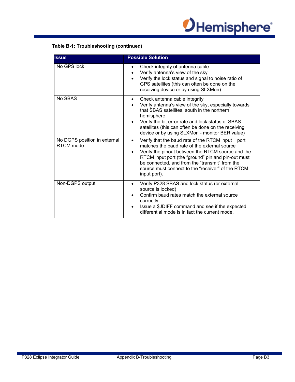

# **Table B-1: Troubleshooting (continued)**

| <b>Issue</b>                              | <b>Possible Solution</b>                                                                                                                                                                                                                                                                                                                                        |
|-------------------------------------------|-----------------------------------------------------------------------------------------------------------------------------------------------------------------------------------------------------------------------------------------------------------------------------------------------------------------------------------------------------------------|
| No GPS lock                               | Check integrity of antenna cable<br>$\bullet$<br>Verify antenna's view of the sky<br>Verify the lock status and signal to noise ratio of<br>$\bullet$<br>GPS satellites (this can often be done on the<br>receiving device or by using SLXMon)                                                                                                                  |
| No SBAS                                   | • Check antenna cable integrity<br>Verify antenna's view of the sky, especially towards<br>that SBAS satellites, south in the northern<br>hemisphere<br>Verify the bit error rate and lock status of SBAS<br>satellites (this can often be done on the receiving<br>device or by using SLXMon - monitor BER value)                                              |
| No DGPS position in external<br>RTCM mode | Verify that the baud rate of the RTCM input<br>port<br>$\bullet$<br>matches the baud rate of the external source<br>Verify the pinout between the RTCM source and the<br>$\bullet$<br>RTCM input port (the "ground" pin and pin-out must<br>be connected, and from the "transmit" from the<br>source must connect to the "receiver" of the RTCM<br>input port). |
| Non-DGPS output                           | Verify P328 SBAS and lock status (or external<br>source is locked)<br>Confirm baud rates match the external source<br>correctly<br>Issue a \$JDIFF command and see if the expected<br>$\bullet$<br>differential mode is in fact the current mode.                                                                                                               |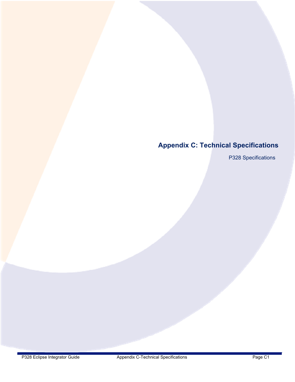# **Appendix C: Technical Specifications**

P328 Specifications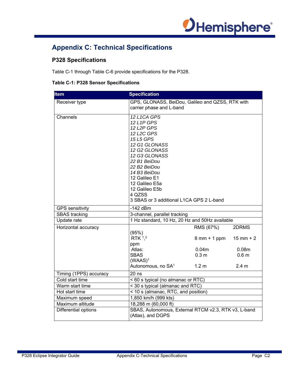

# **Appendix C: Technical Specifications**

# **P328 Specifications**

Table C-1 through Table C-6 provide specifications for the P328.

#### **Table C-1: P328 Sensor Specifications**

| <b>Item</b>                                           | <b>Specification</b>                                                         |                                |                   |
|-------------------------------------------------------|------------------------------------------------------------------------------|--------------------------------|-------------------|
| Receiver type                                         | GPS, GLONASS, BeiDou, Galileo and QZSS, RTK with<br>carrier phase and L-band |                                |                   |
|                                                       |                                                                              |                                |                   |
| Channels                                              | 12 L1CA GPS                                                                  |                                |                   |
|                                                       | 12 L1P GPS                                                                   |                                |                   |
|                                                       | 12 L2P GPS                                                                   |                                |                   |
|                                                       | 12 L2C GPS                                                                   |                                |                   |
|                                                       | 15 L5 GPS                                                                    |                                |                   |
|                                                       | 12 G1 GLONASS                                                                |                                |                   |
|                                                       | 12 G2 GLONASS                                                                |                                |                   |
|                                                       | 12 G3 GLONASS                                                                |                                |                   |
|                                                       | 22 B1 BeiDou<br>22 B2 BeiDou                                                 |                                |                   |
|                                                       | 14 B3 BeiDou                                                                 |                                |                   |
|                                                       | 12 Galileo E1                                                                |                                |                   |
|                                                       | 12 Galileo E5a                                                               |                                |                   |
|                                                       | 12 Galileo E5b                                                               |                                |                   |
|                                                       | 4 QZSS                                                                       |                                |                   |
|                                                       | 3 SBAS or 3 additional L1CA GPS 2 L-band                                     |                                |                   |
| <b>GPS</b> sensitivity                                | $-142$ dBm                                                                   |                                |                   |
| <b>SBAS</b> tracking                                  | 3-channel, parallel tracking                                                 |                                |                   |
| Update rate                                           | 1 Hz standard, 10 Hz, 20 Hz and 50Hz available                               |                                |                   |
| Horizontal accuracy                                   |                                                                              | RMS (67%)                      | 2DRMS             |
|                                                       | (95%)<br>RTK <sup>1,2</sup>                                                  | $8 \text{ mm} + 1 \text{ ppm}$ | $15$ mm + 2       |
|                                                       | ppm                                                                          |                                |                   |
|                                                       | Atlas:                                                                       | 0.04 <sub>m</sub>              | 0.08 <sub>m</sub> |
|                                                       | <b>SBAS</b>                                                                  | 0.3 <sub>m</sub>               | 0.6 <sub>m</sub>  |
|                                                       | $(WAAS)^1$                                                                   |                                |                   |
|                                                       | Autonomous, no SA <sup>1</sup>                                               | 1.2 <sub>m</sub>               | 2.4 m             |
| Timing (1PPS) accuracy                                | $20$ ns                                                                      |                                |                   |
| Cold start time                                       | < 60 s typical (no almanac or RTC)                                           |                                |                   |
| < 30 s typical (almanac and RTC)<br>Warm start time   |                                                                              |                                |                   |
| < 10 s (almanac, RTC, and position)<br>Hot start time |                                                                              |                                |                   |
| 1,850 km/h (999 kts)<br>Maximum speed                 |                                                                              |                                |                   |
| Maximum altitude                                      | 18,288 m (60,000 ft)                                                         |                                |                   |
| Differential options                                  | SBAS, Autonomous, External RTCM v2.3, RTK v3, L-band<br>(Atlas), and DGPS    |                                |                   |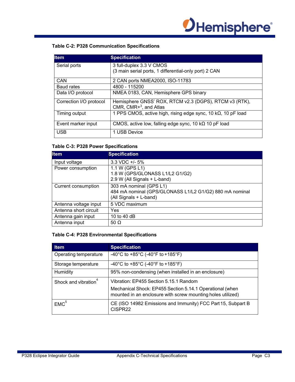

# **Table C-2: P328 Communication Specifications**

| <b>Item</b>             | <b>Specification</b>                                                  |
|-------------------------|-----------------------------------------------------------------------|
| Serial ports            | 3 full-duplex 3.3 V CMOS                                              |
|                         | (3 main serial ports, 1 differential-only port) 2 CAN                 |
| CAN                     | 2 CAN ports NMEA2000, ISO-11783                                       |
| <b>Baud rates</b>       | 4800 - 115200                                                         |
| Data I/O protocol       | NMEA 0183, CAN, Hemisphere GPS binary                                 |
| Correction I/O protocol | Hemisphere GNSS' ROX, RTCM v2.3 (DGPS), RTCM v3 (RTK),                |
|                         | CMR, CMR+3, and Atlas                                                 |
| Timing output           | 1 PPS CMOS, active high, rising edge sync, 10 k $\Omega$ , 10 pF load |
| Event marker input      | CMOS, active low, falling edge sync, 10 $k\Omega$ 10 pF load          |
| <b>USB</b>              | 1 USB Device                                                          |

#### **Table C-3: P328 Power Specifications**

| <b>Item</b>           | <b>Specification</b>                                                                                         |
|-----------------------|--------------------------------------------------------------------------------------------------------------|
| Input voltage         | $3.3 \text{ VDC} + 5\%$                                                                                      |
| Power consumption     | 1.1 W (GPS L1)<br>1.8 W (GPS/GLONASS L1/L2 G1/G2)<br>2.9 W (All Signals + L-band)                            |
| Current consumption   | 303 mA nominal (GPS L1)<br>484 mA nominal (GPS/GLONASS L1/L2 G1/G2) 880 mA nominal<br>(All Signals + L-band) |
| Antenna voltage input | 5 VDC maximum                                                                                                |
| Antenna short circuit | Yes                                                                                                          |
| Antenna gain input    | 10 to 40 dB                                                                                                  |
| Antenna input         | 50 $\Omega$                                                                                                  |

#### **Table C-4: P328 Environmental Specifications**

| <b>Item</b>                      | <b>Specification</b>                                                                                                    |
|----------------------------------|-------------------------------------------------------------------------------------------------------------------------|
| Operating temperature            | -40°C to +85°C (-40°F to +185°F)                                                                                        |
| Storage temperature              | -40°C to +85°C (-40°F to +185°F)                                                                                        |
| Humidity                         | 95% non-condensing (when installed in an enclosure)                                                                     |
| Shock and vibration <sup>4</sup> | Vibration: EP455 Section 5.15.1 Random                                                                                  |
|                                  | Mechanical Shock: EP455 Section 5.14.1 Operational (when<br>mounted in an enclosure with screw mounting holes utilized) |
| EMC <sup>5</sup>                 | CE (ISO 14982 Emissions and Immunity) FCC Part 15, Subpart B<br>CISPR22                                                 |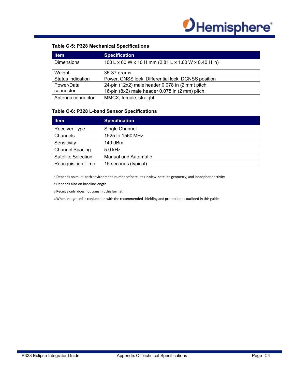

#### **Table C-5: P328 Mechanical Specifications**

| <b>Item</b>       | <b>Specification</b>                                 |
|-------------------|------------------------------------------------------|
| <b>Dimensions</b> | 100 L x 60 W x 10 H mm (2.81 L x 1.60 W x 0.40 H in) |
| Weight            | 35-37 grams                                          |
| Status indication | Power, GNSS lock, Differential lock, DGNSS position  |
| Power/Data        | 24-pin (12x2) male header 0.078 in (2 mm) pitch      |
| connector         | 16-pin (8x2) male header 0.078 in (2 mm) pitch       |
| Antenna connector | MMCX, female, straight                               |

#### **Table C-6: P328 L-band Sensor Specifications**

| <b>Item</b>                | <b>Specification</b>        |
|----------------------------|-----------------------------|
| Receiver Type              | Single Channel              |
| Channels                   | 1525 to 1560 MHz            |
| Sensitivity                | 140 dBm                     |
| <b>Channel Spacing</b>     | $5.0$ kHz                   |
| <b>Satellite Selection</b> | <b>Manual and Automatic</b> |
| <b>Reacquisition Time</b>  | 15 seconds (typical)        |

1 Depends on multi‐path environment, number of satellites in view, satellite geometry, and ionospheric activity

2 Depends also on baseline length

3 Receive only, does not transmit this format

4 When integrated in conjunction with the recommended shielding and protection as outlined in this guide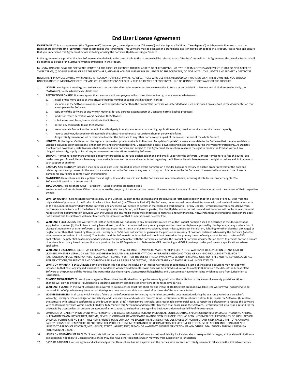#### **End User License Agreement**

**IMPORTANT** ‐ This is an agreement (the "**Agreement**") between you, the end purchaser ("**Licensee**") and Hemisphere GNSS Inc. ("**Hemisphere**") which permits Licensee to use the Hemisphere software (the "**Software**") that accompanies this Agreement. This Software may be licensed on a standalone basis or may be embedded in a Product. Please read and ensure<br>that you understand this Agreement before

In this agreement any product that has Software embedded in it at the time of sale to the Licensee shall be referred to as a "**Product**". As well, in this Agreement, the use of a Product shall be deemed to be use of the Software which is embedded in the Product.

BY INSTALLING OR LISING THE SOFTWARE UPDATE OR THE PRODUCT, LICENSEE THEREBY AGREES TO BE LEGALLY BOUND BY THE TERMS OF THIS AGREEMENT. IF YOU DO NOT AGREE TO JULISIES TERMS, (II) DO NOT INSTALL OR USE THE SOFTWARE, AND (III) IF YOU ARE INSTALLING AN UPDATE TO THE SOFTWARE, DO NOT INSTALL THE UPDATE AND PROMP<br>THESE TERMS, (II) DO NOT INSTALL OR USE THE SOFTWARE, AND (III) IF YOU

HEMISPHERE PROVIDES LIMITED WARRANTIES IN RELATION TO THE SOFTWARE. AS WELL, THOSE WHO USE THE EMBEDDED SOFTWARE DO SO AT THEIR OWN RISK. YOU SHOULD UNDERSTAND THE IMPORTANCE OF THESE AND OTHER LIMITATIONS SET OUT IN THIS AGREEMENT BEFORE INSTALLING OR USING THE SOFTWARE OR THE PRODUCT.

- 1. **LICENSE**. Hemisphere hereby grants to Licensee a non-transferable and non-exclusive license to use the Software as embedded in a Product and all Updates (collectively the "**Software**"), solely in binary executable form.
- 2. **RESTRICTIONS ON USE**. Licensee agrees that Licensee and its employees will not directly or indirectly, in any manner whatsoever:
- a. install or use more copies of the Software than the number of copies that have been licensed;
	- b. use or install the Software in connection with any product other than the Product the Software was intended to be used or installed on as set out in the documentation that accompanies the Software.
	- copy any of the Software or any written materials for any purpose except as part of Licensee's normal backup processes;
	- d. modify or create derivative works based on the Software;
	- e. sub‐license, rent, lease, loan or distribute the Software;
	- f. permit any third party to use the Software;
	- use or operate Product for the benefit of any third party in any type of service outsourcing, application service, provider service or service bureau capacity;
	- reverse engineer, decompile or disassemble the Software or otherwise reduce it to a human perceivable form;
	- Assign this Agreement or sell or otherwise transfer the Software to any other party except as part of the sale or transfer of the whole Product.
- 3. **UPDATES**. At Hemisphere's discretion Hemisphere may make Updates available to Licensee. An update ("**Update**") means any update to the Software that is made available to Licensee including error corrections, enhancements and other modifications. Licensee may access, download and install Updates during the Warranty Period only. All Updates that Licensee downloads, installs or uses shall be deemed to be Software and subject to this Agreement. Hemisphere reserves the right to modify the Product without any obligation to notify, supply or install any improvements or alterations to existing Software.
- 4. SUPPORT. Hemisphere may make available directly or through its authorized dealers telephone and email support for the Software. Contact Hemisphere to find the authorized<br>dealer near you. As well, Hemisphere may make ava such support at any time.
- 5. **BACKUPS AND RECOVERY.** Licensee shall back-up all data used, created or stored by the Software on a regular basis as necessary to enable proper recovery of the data and related systems and processes in the event of a malfunction in the Software or any loss or corruption of data caused by the Software. Licensee shall assume all risks of loss or damage for any failure to comply with the foregoing.
- 6. **OWNERSHIP.** Hemisphere and its suppliers own all rights, title and interest in and to the Software and related materials, including all intellectual property rights. The Software is licensed to Licensee, not sold.
- 7. **TRADEMARKS**. "Hemisphere GNSS", "Crescent", "Eclipse" and the associated logos are trademarks of Hemisphere. Other trademarks are the property of their respective owners. Licensee may not use any of these trademarks without the consent of their respective owners.
- 8. **LIMITED WARRANTY**. Hemisphere warrants solely to the Licensee, subject to the exclusions and procedures set forth herein below, that for a period of one (1) year from the original date of purchase of the Product in which it is embedded (the "Warranty Period"), the Software, under normal use and maintenance, will conform in all material respects to the documentation provided with the Software and any media will be free of defects in materials and workmanship. For any Update, Hemisphere warrants, for 90 days from performance or delivery, or for the balance of the original Warranty Period, whichever is greater, that the Update, under normal use and maintenance, will conform in all material respects to the documentation provided with the Update and any media will be free of defects in materials and workmanship. Notwithstanding the foregoing, Hemisphere does not warrant that the Software will meet Licensee's requirements or that its operation will be error free.
- 9. **WARRANTY EXCLUSIONS**. The warranty set forth in Section (8) will not apply to any deficiencies caused by (a) the Product not being used as described in the documentation supplied to Licensee, (b) the Software having been altered, modified or converted in any way by anyone other than Hemisphere approved by Hemisphere, (c) any malfunction of Licensee's equipment or other software, or (d) damage occurring in transit or due to any accident, abuse, misuse, improper installation, lightning (or other electrical discharge) or neglect other than that caused by Hemisphere. Hemisphere GNSS does not warrant or guarantee the precision or accuracy of positions obtained when using the Software (whether standalone or embedded in a Product). The Product and the Software is not intended and should not be used as the primary means of navigation or for use in safety of life applications. The potential positioning and navigation accuracy obtainable with the Software as stated in the Product or Software documentation serves to provide only an estimate of achievable accuracy based on specifications provided by the US Department of Defense for GPS positioning and DGPS service provider performance specifications, where applicable.
- 10. **WARRANTY DISCLAIMER.** EXCEPT AS EXPRESSLY SET OUT IN THIS AGREEMENT, HEMISPHERE MAKES NO REPRESENTATION, WARRANTY OR CONDITION OF ANY KIND TO LICENSEE, WHETHER VERBAL OR WRITTEN AND HEREBY DISCLAIMS ALL REPRESENTATIONS, WARRANTIES AND CONDITIONS OF ANY KIND INCLUDING FITNESS FOR A PARTICULAR PURPOSE, MERCHANTABILITY, ACCURACY, RELIABILITY OR THAT THE USE OF THE SOFTWARE WILL BE UNINTERRUPTED OR ERROR‐FREE AND HEREBY DISCLAIMS ALL REPRESENTATIONS, WARRANTIES AND CONDITIONS ARISING AS A RESULT OF CUSTOM, USAGE OR TRADE AND THOSE ARISING UNDER STATUTE.
- 11. **LIMITS ON WARRANTY DISCLAIMER.** Some jurisdictions do not allow the exclusion of implied warranties or conditions, so some of the above exclusions may not apply to Licensee. In that case, any implied warranties or conditions which would then otherwise arise will be limited in duration to ninety (90) days from the date of the license of the<br>Software or the purchase of the Product. The jurisdiction.
- 12. **CHANGE TO WARRANTY.** No employee or agent of Hemisphere is authorized to change the warranty provided or the limitation or disclaimer of warranty provisions. All such changes will only be effective if pursuant to a separate agreement signed by senior officers of the respective parties.
- 13. **WARRANTY CLAIM.** In the event Licensee has a warranty claim Licensee must first check for and install all Updates that are made available. The warranty will not otherwise be honored. Proof of purchase may be required. Hemisphere does not honor claims asserted after the end of the Warranty Period.
- 14. **LICENSEE REMEDIES.** In all cases which involve a failure of the Software to conform in any material respect to the documentation during the Warranty Period or a breach of a warranty, Hemisphere's sole obligation and liability, and Licensee's sole and exclusive remedy, is for Hemisphere, at Hemisphere's option, to (a) repair the Software, (b) replace the Software with software conforming to the documentation, or (c) if Hemisphere is unable, on a reasonable commercial basis, to repair the Software or to replace the Software with conforming software within ninety (90) days, to terminate this Agreement and thereafter Licensee shall cease using the Software. Hemisphere will also issue a refund for the price paid by Licensee less an amount on account of amortization, calculated on a straight-line basis over a deemed useful life of three (3) years.
- 15. LIMITATION OF LIABILITY. IN NO EVENT WILL HEMISPHERE BE LIABLE TO LICENSEE FOR ANY INCIDENTAL, CONSEQUENTIAL, SPECIAL OR INDIRECT DAMAGES INCLUDING ARISING IN RELATION TO ANY LOSS OF DATA, INCOME, REVENUE, GOODWILL OR ANTICIPATED SAVINGS EVEN IF HEMISPHERE HAS BEEN INFORMED OF THE POSSIBILITY OF SUCH LOSS OR DAMAGE. FURTHER, IN NO EVENT WILL HEMISPHERE'S TOTAL CUMULATIVE LIABILITY HEREUNDER, FROM ALL CAUSES OF ACTION OF ANY KIND, EXCEED THE TOTAL AMOUNT PAID BY LICENSEE TO HEMISPHERE TO PURCHASE THE PRODUCT. THIS LIMITATION AND EXCLUSION APPLIES IRRESPECTIVE OF THE CAUSE OF ACTION, INCLUDING BUT NOT<br>LIMITED TO BREACH OF CONTRACT, NEGLIGENCE, STRICT LIABILITY, TORT, BREACH FUNDAMENTAL BREACH.
- 16. LIMITS ON LIMITATION OF LIABILITY. Some jurisdictions do not allow for the limitation or exclusion of liability for incidental or consequential damages, so the above limitation or<br>exclusion may not apply to Licensee an
- 17. BASIS OF BARGAIN. Licensee agrees and acknowledges that Hemisphere has set its prices and the parties have entered into this Agreement in reliance on the limited warranties,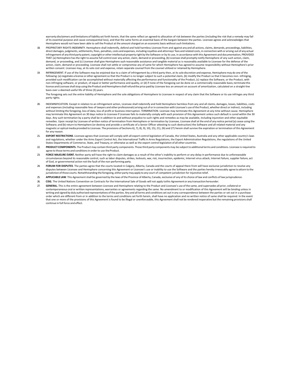warranty disclaimers and limitations of liability set forth herein, that the same reflect an agreed‐to allocation of risk between the parties (including the risk that a remedy may fail of its essential purpose and cause consequential loss), and that the same forms an essential basis of the bargain between the parties. Licensee agrees and acknowledges that Hemisphere would not have been able to sell the Product at the amount charged on an economic basis without such limitations.

- 18. PROPRIETARY RIGHTS INDEMNITY. Hemisphere shall indemnify, defend and hold harmless Licensee from and against any and all actions, claims, demands, proceedings, liabilities, direct damages, judgments, settlements, fines, penalties, costs and expenses, including royalties and attorneys' fees and related costs, in connection with or arising out of any actual infringement of any third party patent, copyright or other intellectual property right by the Software or by its use, in accordance with this Agreement and documentation, PROVIDED THAT: (a) Hemisphere has the right to assume full control over any action, claim, demand or proceeding, (b) Licensee shall promptly notify Hemisphere of any such action, claim, demand, or proceeding, and (c) Licensee shall give Hemisphere such reasonable assistance and tangible material as is reasonably available to Licensee for the defense of the action, claim, demand or proceeding. Licensee shall not settle or compromise any of same for which Hemisphere has agreed to assume responsibility without Hemisphere's prior written consent. Licensee may, at its sole cost and expense, retain separate counsel from the counsel utilized or retained by Hemisphere.
- 19. INFRINGEMENT. If use of the Software may be enjoined due to a claim of infringement by a third party then, at its sole discretion and expense, Hemisphere may do one of the following: (a) negotiate a license or other agreement so that the Product is no longer subject to such a potential claim, (b) modify the Product so that it becomes non‐ infringing, provided such modification can be accomplished without materially affecting the performance and functionality of the Product, (c) replace the Software, or the Product, with<br>non-infringing software, or product, of equal or license and Licensee shall stop using the Product and Hemisphere shall refund the price paid by Licensee less an amount on account of amortization, calculated on a straight‐line basis over a deemed useful life of three (3) years.

The foregoing sets out the entire liability of Hemisphere and the sole obligations of Hemisphere to Licensee in respect of any claim that the Software or its use infringes any third party rights.

- 20. INDEMNIFICATION. Except in relation to an infringement action, Licensee shall indemnify and hold Hemisphere harmless from any and all claims, damages, losses, liabilities, costs and expenses (including reasonable fees of lawyers and other professionals) arising out of or in connection with Licensee's use of the Product, whether direct or indirect, including<br>without limiting the foregoing, loss of may terminate this Agreement on 30 days notice to Licensee if Licensee fails to materially comply with each provision of this Agreement unless such default is cured within the 30 days. Any such termination by a party shall be in addition to and without prejudice to such rights and remedies as may be available, including injunction and other equitable remedies. Upon receipt by Licensee of written notice of termination from Hemisphere or termination by Licensee, Licensee shall at the end of any notice period (a) cease using the Software; and (b) return to Hemisphere (or destroy and provide a certificate of a Senior Officer attesting to such destruction) the Software and all related material and any magnetic or optical media provided to Licensee. The provisions of Sections 6), 7), 8), 9), 10), 15), 21), 26) and 27) herein shall survive the expiration or termination of this Agreement for any reason.
- 21. **EXPORT RESTRICTIONS**. Licensee agrees that Licensee will comply with all export control legislation of Canada, the United States, Australia and any other applicable country's laws and regulations, whether under the Arms Export Control Act, the International Traffic in Arms Regulations, the Export Administration Regulations, the regulations of the United States Departments of Commerce, State, and Treasury, or otherwise as well as the export control legislation of all other countries.
- 22. **PRODUCT COMPONENTS.** The Product may contain third party components. Those third party components may be subject to additional terms and conditions. Licensee is required to agree to those terms and conditions in order to use the Product.
- 23. **FORCE MAJEURE EVENT.** Neither party will have the right to claim damages as a result of the other's inability to perform or any delay in performance due to unforeseeable circumstances beyond its reasonable control, such as labor disputes, strikes, lockouts, war, riot, insurrection, epidemic, Internet virus attack, Internet failure, supplier failure, act of God, or governmental action not the fault of the non‐performing party.
- 24. FORUM FOR DISPUTES. The parties agree that the courts located in Calgary, Alberta, Canada and the courts of appeal there from will have exclusive jurisdiction to resolve any<br>disputes between Licensee and Hemisphere con jurisdiction of those courts. Notwithstanding the foregoing, either party may apply to any court of competent jurisdiction for injunctive relief.
- 25. **APPLICABLE LAW**. This Agreement shall be governed by the laws of the Province of Alberta, Canada, exclusive of any of its choice of law and conflicts of law jurisprudence.
- 26. CISG. The United Nations Convention on Contracts for the International Sale of Goods will not apply tothis Agreement or any transaction hereunder.
- 27. **GENERAL.** This is the entire agreement between Licensee and Hemisphere relating to the Product and Licensee's use of the same, and supersedes all prior, collateral or contemporaneous oral or written representations, warranties or agreements regarding the same. No amendment to or modification of this Agreement will be binding unless in writing and signed by duly authorized representatives of the parties. Any and all terms and conditions set out in any correspondence between the parties or set out in a purchase order which are different from or in addition to the terms and conditions set forth herein, shall have no application and no written notice of same shall be required. In the event that one or more of the provisions of this Agreement is found to be illegal or unenforceable, this Agreement shall not be rendered inoperative but the remaining provisions shall continue in full force and effect.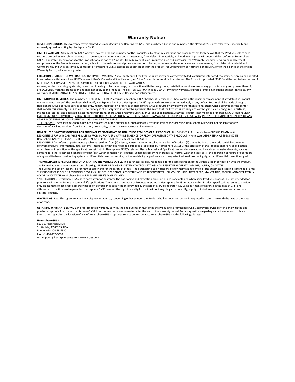#### **Warranty Notice**

**COVERED PRODUCTS:** This warranty covers all products manufactured by Hemisphere GNSS and purchased by the end purchaser (the "Products"), unless otherwise specifically and expressly agreed in writing by Hemisphere GNSS.

LIMITED WARRANTY: Hemisphere GNSS warrants solely to the end purchaser of the Products, subject to the exclusions and procedures set forth below, that the Products sold to such end purchaser and its internal components shall be free, under normal use and maintenance, from defects in materials, and workmanship and will substantially conform to Hemisphere GNSS's applicable specifications for the Product, for a period of 12 months from delivery of such Product to such end purchaser (the "Warranty Period"). Repairs and replacement components for the Products are warranted, subject to the exclusions and procedures set forth below, to be free, under normal use and maintenance, from defects in material and workmanship, and will substantially conform to Hemisphere GNSS's applicable specifications for the Product, for 90 days from performance or delivery, or for the balance of the original Warranty Period, whichever is greater.

**EXCLUSION OF ALL OTHER WARRANTIES.** The LIMITED WARRANTY shall apply only if the Product is properly and correctly installed, configured, interfaced, maintained, stored, and operated in accordance with Hemisphere GNSS's relevant User's Manual and Specifications, AND the Product is not modified or misused. The Product is provided "AS IS" and the implied warranties of MERCHANTABILITY and FITNESS FOR A PARTICULAR PURPOSE and ALL OTHER WARRANTIES,

express, implied or arising by statute, by course of dealing or by trade usage, in connection with the design, sale, installation, service or use of any products or any component thereof, are EXCLUDED from this transaction and shall not apply to the Product. The LIMITED WARRANTY is IN LIEU OF any other warranty, express or implied, including but not limited to, any warranty of MERCHANTABILITY or FITNESS FOR A PARTICULAR PURPOSE, title, and non‐infringement.

LIMITATION OF REMEDIES. The purchaser's EXCLUSIVE REMEDY against Hemisphere GNSS shall be, at Hemisphere GNSS's option, the repair or replacement of any defective Product or components thereof. The purchaser shall notify Hemisphere GNSS or a Hemisphere GNSS's approved service center immediately of any defect. Repairs shall be made through a Hemisphere GNSS approved service center only. Repair, modification or service of Hemisphere GNSS products by any party other than a Hemisphere GNSS approved service center shall render this warranty null and void. The remedy in this paragraph shall only be applied in the event that the Product is properly and correctly installed, configured, interfaced, maintained, stored, and operated in accordance with Hemisphere GNSS's relevant User's Manual and Specifications, AND the Product is not modified or misused. NO OTHER REMEDY (INCLUDING, BUT NOT LIMITED TO, SPECIAL, INDIRECT, INCIDENTAL, CONSEQUENTIAL OR CONTINGENT DAMAGES FOR LOST PROFITS, LOST SALES, INJURY TO PERSON OR PROPERTY, OR ANY OTHER INCIDENTAL OR CONSEQUENTIAL LOSS) SHALL BE AVAILABLE

<u>TO PURCHASER</u>, even if Hemisphere GNSS has been advised of the possibility of such damages. Without limiting the foregoing, Hemisphere GNSS shall not be liable for any<br>damages of any kind resulting from installation, use,

#### **HEMISPHERE IS NOT RESPONSIBLE FOR PURCHASER'S NEGLIGENCE OR UNAUTHORIZED USES OF THE PRODUCT.** IN NO EVENT SHALL Hemisphere GNSS BE IN ANY WAY RESPONSIBLE FOR ANY DAMAGES RESULTING FROM PURCHASER'S OWN NEGLIGENCE, OR FROM OPERATION OF THE PRODUCT IN ANY WAY OTHER THAN AS SPECIFIED IN Hemisphere GNSS's RELEVANT USER'S MANUAL AND SPECIFICATIONS. Hemisphere GNSS is NOT

RESPONSIBLE for defects or performance problems resulting from (1) misuse, abuse, improper installation, neglect of Product; (2) the utilization of the Product with hardware or software products, information, data, systems, interfaces or devices not made, supplied or specified by Hemisphere GNSS; (3) the operation of the Product under any specification other than, or in addition to, the specifications set forth in Hemisphere GNSS's relevant User's Manual and Specifications; (4) damage caused by accident or natural events, such as lightning (or other electrical discharge) or fresh/ salt water immersion of Product; (5) damage occurring in transit; (6) normal wear and tear; or (7) the operation or failure of operation of any satellite‐based positioning system or differential correction service; or the availability or performance of any satellite‐based positioning signal or differential correction signal.

**THE PURCHASER IS RESPONSIBLE FOR OPERATING THE VEHICLE SAFELY.** The purchaser is solely responsible for the safe operation of the vehicle used in connection with the Product, and for maintaining proper system control settings. UNSAFE DRIVING OR SYSTEM CONTROL SETTINGS CAN RESULT IN PROPERTY DAMAGE, INJURY, OR DEATH. The purchaser is solely responsible for his/her safety and for the safety of others. The purchaser is solely responsible for maintaining control of the automated steering system at all times. THE PURCHASER IS SOLELY RESPONSIBLE FOR ENSURING THE PRODUCT IS PROPERLY AND CORRECTLY INSTALLED, CONFIGURED, INTERFACED, MAINTAINED, STORED, AND OPERATED IN ACCORDANCE WITH Hemisphere GNSS's RELEVANT USER'S MANUAL AND

SPECIFICATIONS. Hemisphere GNSS does not warrant or guarantee the positioning and navigation precision or accuracy obtained when using Products. Products are not intended for<br>primary navigation or for use in safety of life only an estimate of achievable accuracy based on performance specifications provided by the satellite service operator (i.e. US Department of Defense in the case of GPS) and differential correction service provider. Hemisphere GNSS reserves the right to modify Products without any obligation to notify, supply or install any improvements or alterations to existing Products.

GOVERNING LAW. This agreement and any disputes relating to, concerning or based upon the Product shall be governed by and interpreted in accordance with the laws of the State of Arizona.

**OBTAINING WARRANTY SERVICE.** In order to obtain warranty service, the end purchaser must bring the Product to a Hemisphere GNSS approved service center along with the end purchaser's proof of purchase. Hemisphere GNSS does not warrant claims asserted after the end of the warranty period. For any questions regarding warranty service or to obtain information regarding the location of any of Hemisphere GNSS approved service center, contact Hemisphere GNSS at the following address:

**Hemisphere GNSS**  8515 E. Anderson Drive Scottsdale, AZ 85255, USA Phone: +1‐480‐348‐6380 Fax: +1‐480‐270‐5070 techsupport@hemispheregnss.com www.hgnss.com